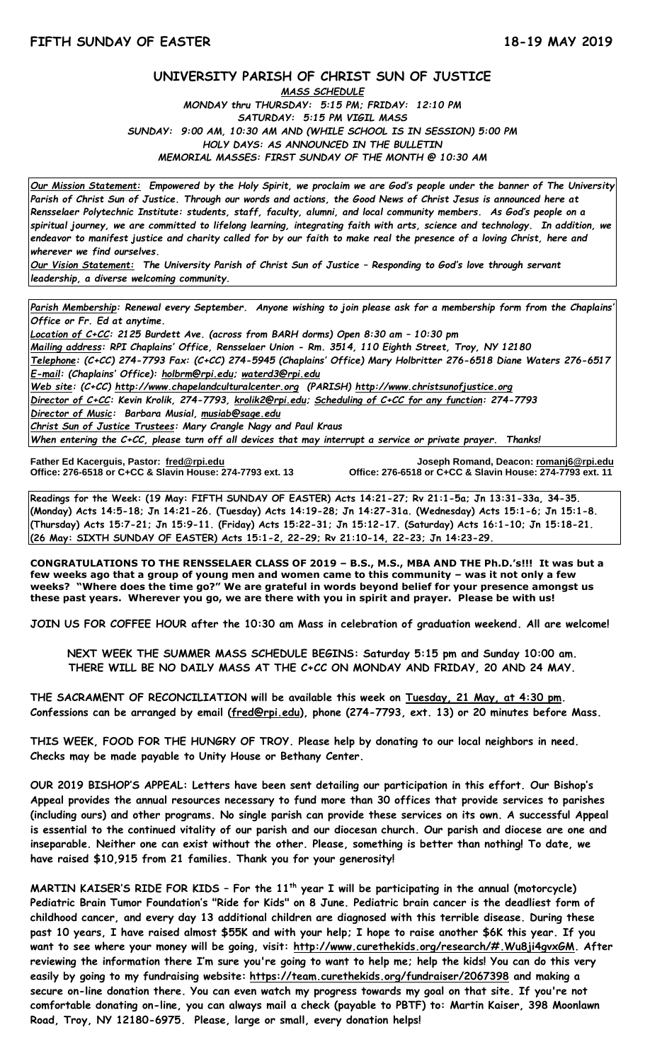# **UNIVERSITY PARISH OF CHRIST SUN OF JUSTICE**

*MASS SCHEDULE MONDAY thru THURSDAY: 5:15 PM; FRIDAY: 12:10 PM SATURDAY: 5:15 PM VIGIL MASS SUNDAY: 9:00 AM, 10:30 AM AND (WHILE SCHOOL IS IN SESSION) 5:00 PM HOLY DAYS: AS ANNOUNCED IN THE BULLETIN MEMORIAL MASSES: FIRST SUNDAY OF THE MONTH @ 10:30 AM*

*Our Mission Statement:**Empowered by the Holy Spirit, we proclaim we are God's people under the banner of The University Parish of Christ Sun of Justice. Through our words and actions, the Good News of Christ Jesus is announced here at Rensselaer Polytechnic Institute: students, staff, faculty, alumni, and local community members. As God's people on a spiritual journey, we are committed to lifelong learning, integrating faith with arts, science and technology. In addition, we endeavor to manifest justice and charity called for by our faith to make real the presence of a loving Christ, here and wherever we find ourselves.*

*Our Vision Statement: The University Parish of Christ Sun of Justice – Responding to God's love through servant leadership, a diverse welcoming community.*

*Parish Membership: Renewal every September. Anyone wishing to join please ask for a membership form from the Chaplains' Office or Fr. Ed at anytime.*

*Location of C+CC: 2125 Burdett Ave. (across from BARH dorms) Open 8:30 am – 10:30 pm Mailing address: RPI Chaplains' Office, Rensselaer Union - Rm. 3514, 110 Eighth Street, Troy, NY 12180 Telephone: (C+CC) 274-7793 Fax: (C+CC) 274-5945 (Chaplains' Office) Mary Holbritter 276-6518 Diane Waters 276-6517 E-mail: (Chaplains' Office): [holbrm@rpi.edu;](mailto:holbrm@rpi.edu) waterd3@rpi.edu Web site: (C+CC) [http://www.chapelandculturalcenter.org](http://www.chapelandculturalcenter.org/) (PARISH) http://www.christsunofjustice.org Director of C+CC: Kevin Krolik, 274-7793, krolik2@rpi.edu; Scheduling of C+CC for any function: 274-7793 Director of Music: Barbara Musial, [musiab@sage.edu](mailto:musiab@sage.edu) Christ Sun of Justice Trustees: Mary Crangle Nagy and Paul Kraus*

*When entering the C+CC, please turn off all devices that may interrupt a service or private prayer. Thanks!*  İ

**Father Ed Kacerguis, Pastor: [fred@rpi.edu](mailto:fred@rpi.edu) Joseph Romand, Deacon[: romanj6@rpi.edu](mailto:romanj6@rpi.edu) Office: 276-6518 or C+CC & Slavin House: 274-7793 ext. 13 Office: 276-6518 or C+CC & Slavin House: 274-7793 ext. 11**

**Readings for the Week: (19 May: FIFTH SUNDAY OF EASTER) Acts 14:21-27; Rv 21:1-5a; Jn 13:31-33a, 34-35. (Monday) Acts 14:5-18; Jn 14:21-26. (Tuesday) Acts 14:19-28; Jn 14:27-31a. (Wednesday) Acts 15:1-6; Jn 15:1-8. (Thursday) Acts 15:7-21; Jn 15:9-11. (Friday) Acts 15:22-31; Jn 15:12-17. (Saturday) Acts 16:1-10; Jn 15:18-21. (26 May: SIXTH SUNDAY OF EASTER) Acts 15:1-2, 22-29; Rv 21:10-14, 22-23; Jn 14:23-29.**

**CONGRATULATIONS TO THE RENSSELAER CLASS OF 2019 – B.S., M.S., MBA AND THE Ph.D.'s!!! It was but a few weeks ago that a group of young men and women came to this community – was it not only a few weeks? "Where does the time go?" We are grateful in words beyond belief for your presence amongst us these past years. Wherever you go, we are there with you in spirit and prayer. Please be with us!** 

**JOIN US FOR COFFEE HOUR after the 10:30 am Mass in celebration of graduation weekend. All are welcome!**

**NEXT WEEK THE SUMMER MASS SCHEDULE BEGINS: Saturday 5:15 pm and Sunday 10:00 am. THERE WILL BE NO DAILY MASS AT THE C+CC ON MONDAY AND FRIDAY, 20 AND 24 MAY.**

**THE SACRAMENT OF RECONCILIATION will be available this week on Tuesday, 21 May, at 4:30 pm. Confessions can be arranged by email [\(fred@rpi.edu\)](mailto:fred@rpi.edu), phone (274-7793, ext. 13) or 20 minutes before Mass.**

**THIS WEEK, FOOD FOR THE HUNGRY OF TROY. Please help by donating to our local neighbors in need. Checks may be made payable to Unity House or Bethany Center.**

**OUR 2019 BISHOP'S APPEAL: Letters have been sent detailing our participation in this effort. Our Bishop's Appeal provides the annual resources necessary to fund more than 30 offices that provide services to parishes (including ours) and other programs. No single parish can provide these services on its own. A successful Appeal is essential to the continued vitality of our parish and our diocesan church. Our parish and diocese are one and inseparable. Neither one can exist without the other. Please, something is better than nothing! To date, we have raised \$10,915 from 21 families. Thank you for your generosity!**

**MARTIN KAISER'S RIDE FOR KIDS – For the 11th year I will be participating in the annual (motorcycle) Pediatric Brain Tumor Foundation's "Ride for Kids" on 8 June. Pediatric brain cancer is the deadliest form of childhood cancer, and every day 13 additional children are diagnosed with this terrible disease. During these past 10 years, I have raised almost \$55K and with your help; I hope to raise another \$6K this year. If you want to see where your money will be going, visit: [http://www.curethekids.org/research/#.Wu8ji4gvxGM.](http://www.curethekids.org/research/#.Wu8ji4gvxGM) After reviewing the information there I'm sure you're going to want to help me; help the kids! You can do this very easily by going to my fundraising website: <https://team.curethekids.org/fundraiser/2067398> and making a secure on-line donation there. You can even watch my progress towards my goal on that site. If you're not comfortable donating on-line, you can always mail a check (payable to PBTF) to: Martin Kaiser, 398 Moonlawn Road, Troy, NY 12180-6975. Please, large or small, every donation helps!**